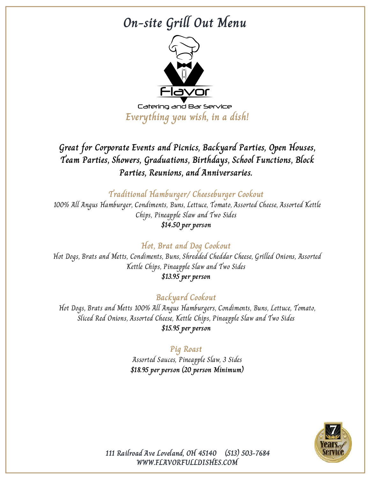## **On-site Grill Out Menu**



**Everything you wish, in a dish!**

**Great for Corporate Events and Picnics, Backyard Parties, Open Houses, Team Parties, Showers, Graduations, Birthdays, School Functions, Block Parties, Reunions, and Anniversaries.**

**Traditional Hamburger/ Cheeseburger Cookout**

100% All Angus Hamburger, Condiments, Buns, Lettuce, Tomato, Assorted Cheese, Assorted Kettle Chips, Pineapple Slaw and Two Sides **\$14.50 per person**

## **Hot, Brat and Dog Cookout**

Hot Dogs, Brats and Metts, Condiments, Buns, Shredded Cheddar Cheese, Grilled Onions, Assorted Kettle Chips, Pineapple Slaw and Two Sides **\$13.95 per person**

## **Backyard Cookout**

Hot Dogs, Brats and Metts 100% All Angus Hamburgers, Condiments, Buns, Lettuce, Tomato, Sliced Red Onions, Assorted Cheese, Kettle Chips, Pineapple Slaw and Two Sides **\$15.95 per person**

#### **Pig Roast**

Assorted Sauces, Pineapple Slaw, 3 Sides **\$18.95 per person (20 person Minimum)**



**WWW.FLAVORFULLDISHES.COM 111 Railroad Ave Loveland, OH 45140 (513) 503-7684**